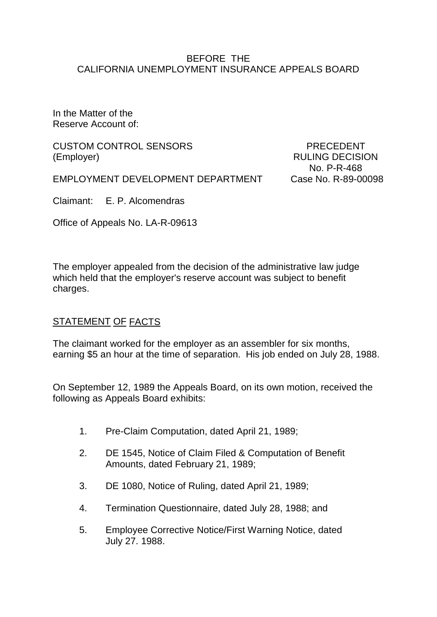#### BEFORE THE CALIFORNIA UNEMPLOYMENT INSURANCE APPEALS BOARD

In the Matter of the Reserve Account of:

CUSTOM CONTROL SENSORS FRECEDENT (Employer) RULING DECISION

EMPLOYMENT DEVELOPMENT DEPARTMENT Case No. R-89-00098

No. P-R-468

Claimant: E. P. Alcomendras

Office of Appeals No. LA-R-09613

The employer appealed from the decision of the administrative law judge which held that the employer's reserve account was subject to benefit charges.

## STATEMENT OF FACTS

The claimant worked for the employer as an assembler for six months, earning \$5 an hour at the time of separation. His job ended on July 28, 1988.

On September 12, 1989 the Appeals Board, on its own motion, received the following as Appeals Board exhibits:

- 1. Pre-Claim Computation, dated April 21, 1989;
- 2. DE 1545, Notice of Claim Filed & Computation of Benefit Amounts, dated February 21, 1989;
- 3. DE 1080, Notice of Ruling, dated April 21, 1989;
- 4. Termination Questionnaire, dated July 28, 1988; and
- 5. Employee Corrective Notice/First Warning Notice, dated July 27. 1988.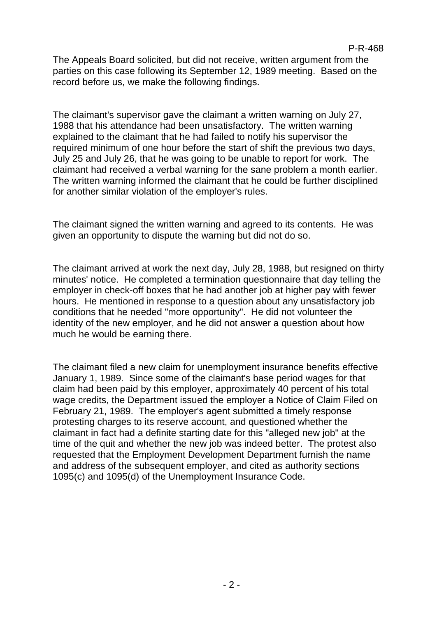The Appeals Board solicited, but did not receive, written argument from the parties on this case following its September 12, 1989 meeting. Based on the record before us, we make the following findings.

The claimant's supervisor gave the claimant a written warning on July 27, 1988 that his attendance had been unsatisfactory. The written warning explained to the claimant that he had failed to notify his supervisor the required minimum of one hour before the start of shift the previous two days, July 25 and July 26, that he was going to be unable to report for work. The claimant had received a verbal warning for the sane problem a month earlier. The written warning informed the claimant that he could be further disciplined for another similar violation of the employer's rules.

The claimant signed the written warning and agreed to its contents. He was given an opportunity to dispute the warning but did not do so.

The claimant arrived at work the next day, July 28, 1988, but resigned on thirty minutes' notice. He completed a termination questionnaire that day telling the employer in check-off boxes that he had another job at higher pay with fewer hours. He mentioned in response to a question about any unsatisfactory job conditions that he needed "more opportunity". He did not volunteer the identity of the new employer, and he did not answer a question about how much he would be earning there.

The claimant filed a new claim for unemployment insurance benefits effective January 1, 1989. Since some of the claimant's base period wages for that claim had been paid by this employer, approximately 40 percent of his total wage credits, the Department issued the employer a Notice of Claim Filed on February 21, 1989. The employer's agent submitted a timely response protesting charges to its reserve account, and questioned whether the claimant in fact had a definite starting date for this "alleged new job" at the time of the quit and whether the new job was indeed better. The protest also requested that the Employment Development Department furnish the name and address of the subsequent employer, and cited as authority sections 1095(c) and 1095(d) of the Unemployment Insurance Code.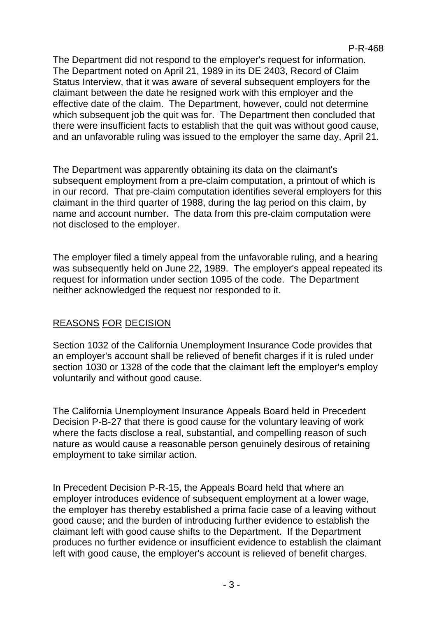The Department did not respond to the employer's request for information. The Department noted on April 21, 1989 in its DE 2403, Record of Claim Status Interview, that it was aware of several subsequent employers for the claimant between the date he resigned work with this employer and the effective date of the claim. The Department, however, could not determine which subsequent job the quit was for. The Department then concluded that there were insufficient facts to establish that the quit was without good cause, and an unfavorable ruling was issued to the employer the same day, April 21.

The Department was apparently obtaining its data on the claimant's subsequent employment from a pre-claim computation, a printout of which is in our record. That pre-claim computation identifies several employers for this claimant in the third quarter of 1988, during the lag period on this claim, by name and account number. The data from this pre-claim computation were not disclosed to the employer.

The employer filed a timely appeal from the unfavorable ruling, and a hearing was subsequently held on June 22, 1989. The employer's appeal repeated its request for information under section 1095 of the code. The Department neither acknowledged the request nor responded to it.

# REASONS FOR DECISION

Section 1032 of the California Unemployment Insurance Code provides that an employer's account shall be relieved of benefit charges if it is ruled under section 1030 or 1328 of the code that the claimant left the employer's employ voluntarily and without good cause.

The California Unemployment Insurance Appeals Board held in Precedent Decision P-B-27 that there is good cause for the voluntary leaving of work where the facts disclose a real, substantial, and compelling reason of such nature as would cause a reasonable person genuinely desirous of retaining employment to take similar action.

In Precedent Decision P-R-15, the Appeals Board held that where an employer introduces evidence of subsequent employment at a lower wage, the employer has thereby established a prima facie case of a leaving without good cause; and the burden of introducing further evidence to establish the claimant left with good cause shifts to the Department. If the Department produces no further evidence or insufficient evidence to establish the claimant left with good cause, the employer's account is relieved of benefit charges.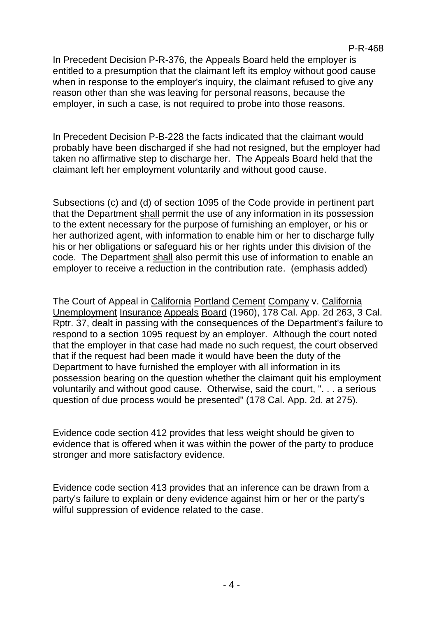In Precedent Decision P-R-376, the Appeals Board held the employer is entitled to a presumption that the claimant left its employ without good cause when in response to the employer's inquiry, the claimant refused to give any reason other than she was leaving for personal reasons, because the employer, in such a case, is not required to probe into those reasons.

In Precedent Decision P-B-228 the facts indicated that the claimant would probably have been discharged if she had not resigned, but the employer had taken no affirmative step to discharge her. The Appeals Board held that the claimant left her employment voluntarily and without good cause.

Subsections (c) and (d) of section 1095 of the Code provide in pertinent part that the Department shall permit the use of any information in its possession to the extent necessary for the purpose of furnishing an employer, or his or her authorized agent, with information to enable him or her to discharge fully his or her obligations or safeguard his or her rights under this division of the code. The Department shall also permit this use of information to enable an employer to receive a reduction in the contribution rate. (emphasis added)

The Court of Appeal in California Portland Cement Company v. California Unemployment Insurance Appeals Board (1960), 178 Cal. App. 2d 263, 3 Cal. Rptr. 37, dealt in passing with the consequences of the Department's failure to respond to a section 1095 request by an employer. Although the court noted that the employer in that case had made no such request, the court observed that if the request had been made it would have been the duty of the Department to have furnished the employer with all information in its possession bearing on the question whether the claimant quit his employment voluntarily and without good cause. Otherwise, said the court, ". . . a serious question of due process would be presented" (178 Cal. App. 2d. at 275).

Evidence code section 412 provides that less weight should be given to evidence that is offered when it was within the power of the party to produce stronger and more satisfactory evidence.

Evidence code section 413 provides that an inference can be drawn from a party's failure to explain or deny evidence against him or her or the party's wilful suppression of evidence related to the case.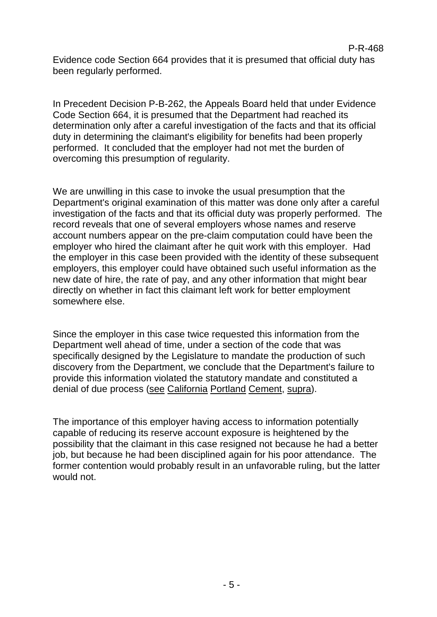Evidence code Section 664 provides that it is presumed that official duty has been regularly performed.

In Precedent Decision P-B-262, the Appeals Board held that under Evidence Code Section 664, it is presumed that the Department had reached its determination only after a careful investigation of the facts and that its official duty in determining the claimant's eligibility for benefits had been properly performed. It concluded that the employer had not met the burden of overcoming this presumption of regularity.

We are unwilling in this case to invoke the usual presumption that the Department's original examination of this matter was done only after a careful investigation of the facts and that its official duty was properly performed. The record reveals that one of several employers whose names and reserve account numbers appear on the pre-claim computation could have been the employer who hired the claimant after he quit work with this employer. Had the employer in this case been provided with the identity of these subsequent employers, this employer could have obtained such useful information as the new date of hire, the rate of pay, and any other information that might bear directly on whether in fact this claimant left work for better employment somewhere else.

Since the employer in this case twice requested this information from the Department well ahead of time, under a section of the code that was specifically designed by the Legislature to mandate the production of such discovery from the Department, we conclude that the Department's failure to provide this information violated the statutory mandate and constituted a denial of due process (see California Portland Cement, supra).

The importance of this employer having access to information potentially capable of reducing its reserve account exposure is heightened by the possibility that the claimant in this case resigned not because he had a better job, but because he had been disciplined again for his poor attendance. The former contention would probably result in an unfavorable ruling, but the latter would not.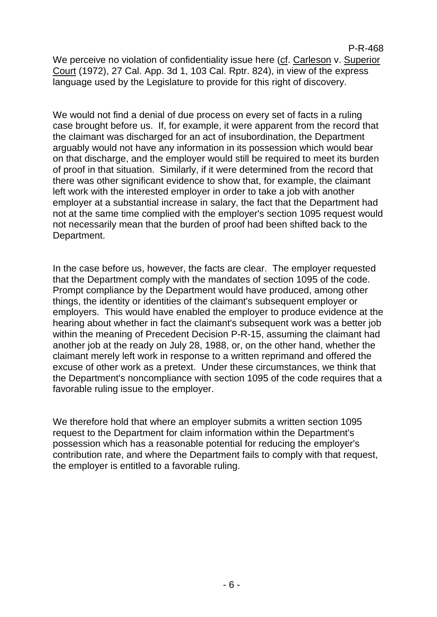We perceive no violation of confidentiality issue here (cf. Carleson v. Superior Court (1972), 27 Cal. App. 3d 1, 103 Cal. Rptr. 824), in view of the express language used by the Legislature to provide for this right of discovery.

We would not find a denial of due process on every set of facts in a ruling case brought before us. If, for example, it were apparent from the record that the claimant was discharged for an act of insubordination, the Department arguably would not have any information in its possession which would bear on that discharge, and the employer would still be required to meet its burden of proof in that situation. Similarly, if it were determined from the record that there was other significant evidence to show that, for example, the claimant left work with the interested employer in order to take a job with another employer at a substantial increase in salary, the fact that the Department had not at the same time complied with the employer's section 1095 request would not necessarily mean that the burden of proof had been shifted back to the Department.

In the case before us, however, the facts are clear. The employer requested that the Department comply with the mandates of section 1095 of the code. Prompt compliance by the Department would have produced, among other things, the identity or identities of the claimant's subsequent employer or employers. This would have enabled the employer to produce evidence at the hearing about whether in fact the claimant's subsequent work was a better job within the meaning of Precedent Decision P-R-15, assuming the claimant had another job at the ready on July 28, 1988, or, on the other hand, whether the claimant merely left work in response to a written reprimand and offered the excuse of other work as a pretext. Under these circumstances, we think that the Department's noncompliance with section 1095 of the code requires that a favorable ruling issue to the employer.

We therefore hold that where an employer submits a written section 1095 request to the Department for claim information within the Department's possession which has a reasonable potential for reducing the employer's contribution rate, and where the Department fails to comply with that request, the employer is entitled to a favorable ruling.